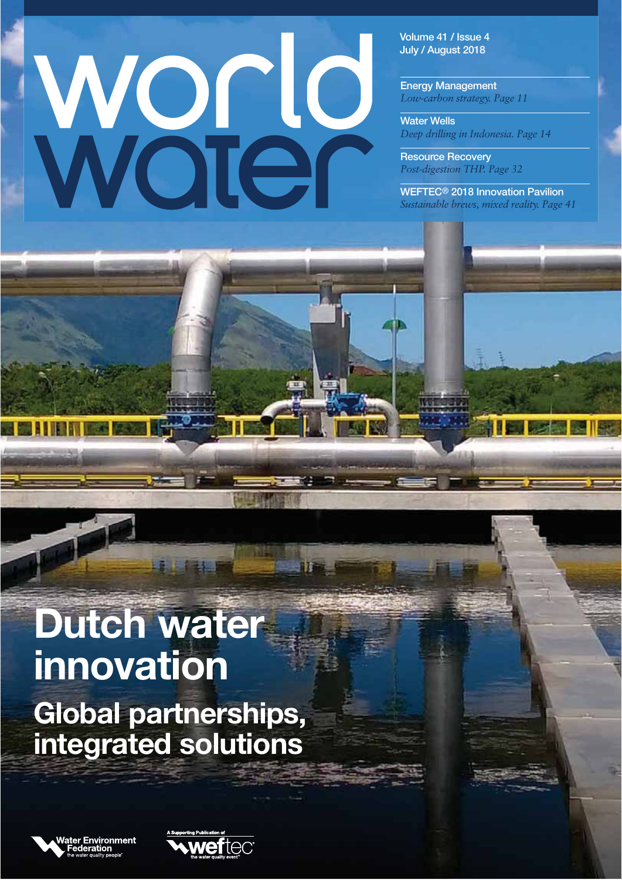# Ward

**Volume 41 / Issue 4 July / August 2018**

**Energy Management** *Low-carbon strategy. Page 11*

**Water Wells** *Deep drilling in Indonesia. Page 14*

**Resource Recovery** *Post-digestion THP. Page 32*

**WEFTEC® 2018 Innovation Pavilion** *Sustainable brews, mixed reality. Page 41*

# **Dutch water innovation Global partnerships, integrated solutions**



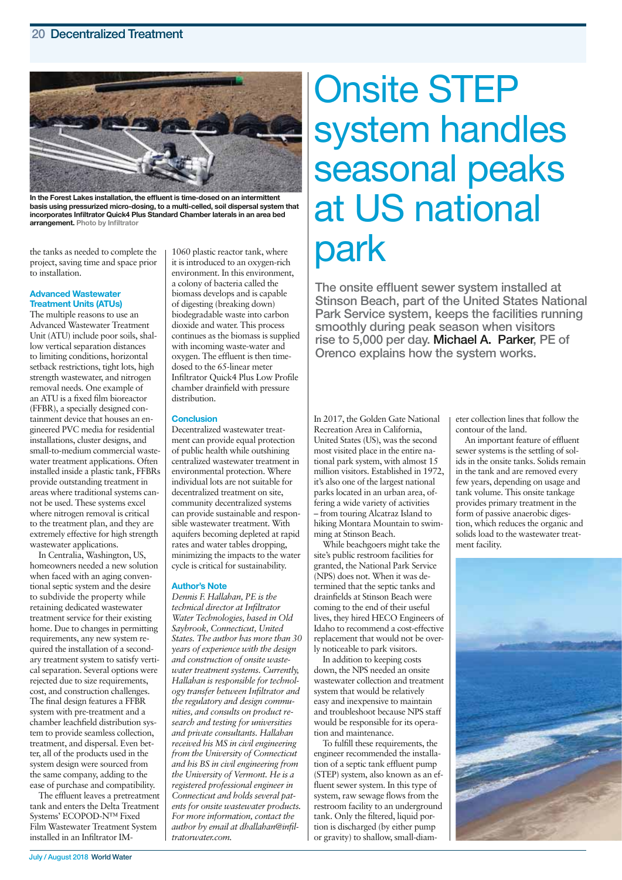## **20 Decentralized Treatment**



**In the Forest Lakes installation, the effluent is time-dosed on an intermittent basis using pressurized micro-dosing, to a multi-celled, soil dispersal system that incorporates Infiltrator Quick4 Plus Standard Chamber laterals in an area bed arrangement. Photo by Infiltrator**

the tanks as needed to complete the project, saving time and space prior to installation.

### **Advanced Wastewater Treatment Units (ATUs)**

The multiple reasons to use an Advanced Wastewater Treatment Unit (ATU) include poor soils, shallow vertical separation distances to limiting conditions, horizontal setback restrictions, tight lots, high strength wastewater, and nitrogen removal needs. One example of an ATU is a fixed film bioreactor (FFBR), a specially designed containment device that houses an engineered PVC media for residential installations, cluster designs, and small-to-medium commercial wastewater treatment applications. Often installed inside a plastic tank, FFBRs provide outstanding treatment in areas where traditional systems cannot be used. These systems excel where nitrogen removal is critical to the treatment plan, and they are extremely effective for high strength wastewater applications.

In Centralia, Washington, US, homeowners needed a new solution when faced with an aging conventional septic system and the desire to subdivide the property while retaining dedicated wastewater treatment service for their existing home. Due to changes in permitting requirements, any new system required the installation of a secondary treatment system to satisfy vertical separation. Several options were rejected due to size requirements, cost, and construction challenges. The final design features a FFBR system with pre-treatment and a chamber leachfield distribution system to provide seamless collection, treatment, and dispersal. Even better, all of the products used in the system design were sourced from the same company, adding to the ease of purchase and compatibility.

The effluent leaves a pretreatment tank and enters the Delta Treatment Systems' ECOPOD-N™ Fixed Film Wastewater Treatment System installed in an Infiltrator IM-

1060 plastic reactor tank, where it is introduced to an oxygen-rich environment. In this environment, a colony of bacteria called the biomass develops and is capable of digesting (breaking down) biodegradable waste into carbon dioxide and water. This process continues as the biomass is supplied with incoming waste-water and oxygen. The effluent is then timedosed to the 65-linear meter Infiltrator Quick4 Plus Low Profile chamber drainfield with pressure distribution.

### **Conclusion**

Decentralized wastewater treatment can provide equal protection of public health while outshining centralized wastewater treatment in environmental protection. Where individual lots are not suitable for decentralized treatment on site, community decentralized systems can provide sustainable and responsible wastewater treatment. With aquifers becoming depleted at rapid rates and water tables dropping, minimizing the impacts to the water cycle is critical for sustainability.

### **Author's Note**

*Dennis F. Hallahan, PE is the technical director at Infiltrator Water Technologies, based in Old Saybrook, Connecticut, United States. The author has more than 30 years of experience with the design and construction of onsite wastewater treatment systems. Currently, Hallahan is responsible for technology transfer between Infiltrator and the regulatory and design communities, and consults on product research and testing for universities and private consultants. Hallahan received his MS in civil engineering from the University of Connecticut and his BS in civil engineering from the University of Vermont. He is a registered professional engineer in Connecticut and holds several patents for onsite wastewater products. For more information, contact the author by email at dhallahan@infiltratorwater.com.*

# Onsite STEP system handles seasonal peaks at US national park

**The onsite effluent sewer system installed at Stinson Beach, part of the United States National Park Service system, keeps the facilities running smoothly during peak season when visitors rise to 5,000 per day. Michael A. Parker, PE of Orenco explains how the system works.**

In 2017, the Golden Gate National Recreation Area in California, United States (US), was the second most visited place in the entire national park system, with almost 15 million visitors. Established in 1972, it's also one of the largest national parks located in an urban area, offering a wide variety of activities – from touring Alcatraz Island to hiking Montara Mountain to swimming at Stinson Beach.

While beachgoers might take the site's public restroom facilities for granted, the National Park Service (NPS) does not. When it was determined that the septic tanks and drainfields at Stinson Beach were coming to the end of their useful lives, they hired HECO Engineers of Idaho to recommend a cost-effective replacement that would not be overly noticeable to park visitors.

In addition to keeping costs down, the NPS needed an onsite wastewater collection and treatment system that would be relatively easy and inexpensive to maintain and troubleshoot because NPS staff would be responsible for its operation and maintenance.

To fulfill these requirements, the engineer recommended the installation of a septic tank effluent pump (STEP) system, also known as an effluent sewer system. In this type of system, raw sewage flows from the restroom facility to an underground tank. Only the filtered, liquid portion is discharged (by either pump or gravity) to shallow, small-diameter collection lines that follow the contour of the land.

An important feature of effluent sewer systems is the settling of solids in the onsite tanks. Solids remain in the tank and are removed every few years, depending on usage and tank volume. This onsite tankage provides primary treatment in the form of passive anaerobic digestion, which reduces the organic and solids load to the wastewater treatment facility.